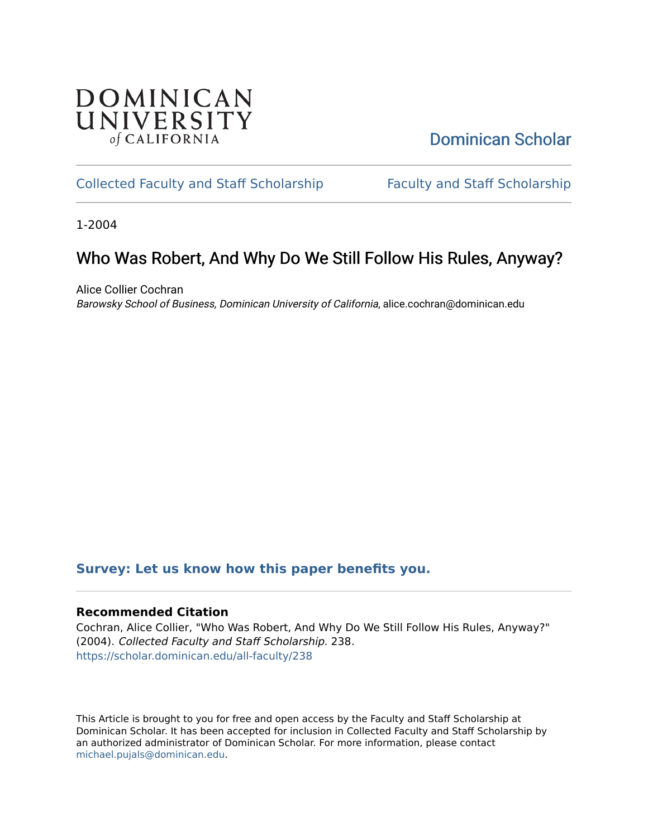## **DOMINICAN** UNIVERSITY of CALIFORNIA

## [Dominican Scholar](https://scholar.dominican.edu/)

### [Collected Faculty and Staff Scholarship](https://scholar.dominican.edu/all-faculty) [Faculty and Staff Scholarship](https://scholar.dominican.edu/faculty-scholarship)

1-2004

# Who Was Robert, And Why Do We Still Follow His Rules, Anyway?

Alice Collier Cochran Barowsky School of Business, Dominican University of California, alice.cochran@dominican.edu

### **[Survey: Let us know how this paper benefits you.](https://dominican.libwizard.com/dominican-scholar-feedback)**

#### **Recommended Citation**

Cochran, Alice Collier, "Who Was Robert, And Why Do We Still Follow His Rules, Anyway?" (2004). Collected Faculty and Staff Scholarship. 238. [https://scholar.dominican.edu/all-faculty/238](https://scholar.dominican.edu/all-faculty/238?utm_source=scholar.dominican.edu%2Fall-faculty%2F238&utm_medium=PDF&utm_campaign=PDFCoverPages) 

This Article is brought to you for free and open access by the Faculty and Staff Scholarship at Dominican Scholar. It has been accepted for inclusion in Collected Faculty and Staff Scholarship by an authorized administrator of Dominican Scholar. For more information, please contact [michael.pujals@dominican.edu.](mailto:michael.pujals@dominican.edu)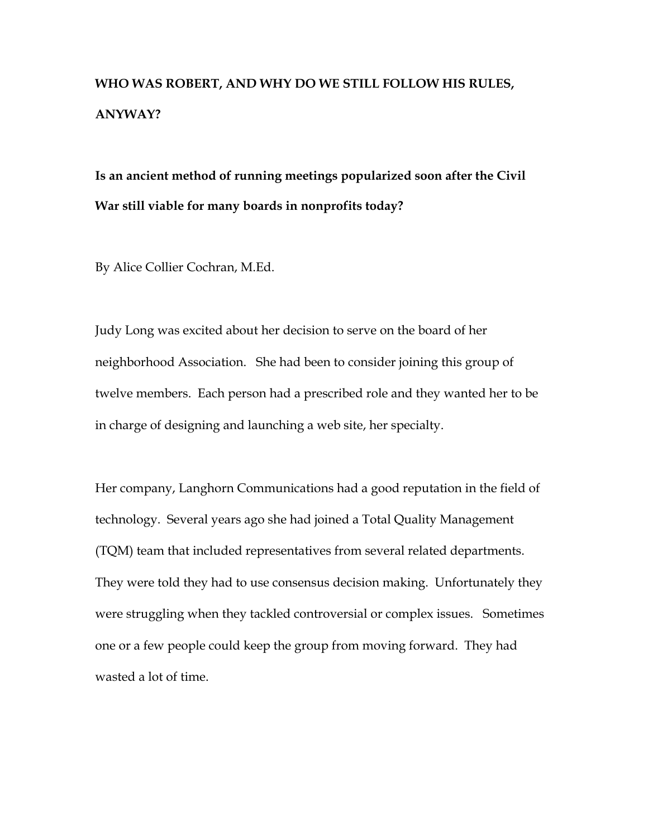# **WHO WAS ROBERT, AND WHY DO WE STILL FOLLOW HIS RULES, ANYWAY?**

**Is an ancient method of running meetings popularized soon after the Civil War still viable for many boards in nonprofits today?** 

By Alice Collier Cochran, M.Ed.

Judy Long was excited about her decision to serve on the board of her neighborhood Association. She had been to consider joining this group of twelve members. Each person had a prescribed role and they wanted her to be in charge of designing and launching a web site, her specialty.

Her company, Langhorn Communications had a good reputation in the field of technology. Several years ago she had joined a Total Quality Management (TQM) team that included representatives from several related departments. They were told they had to use consensus decision making. Unfortunately they were struggling when they tackled controversial or complex issues. Sometimes one or a few people could keep the group from moving forward. They had wasted a lot of time.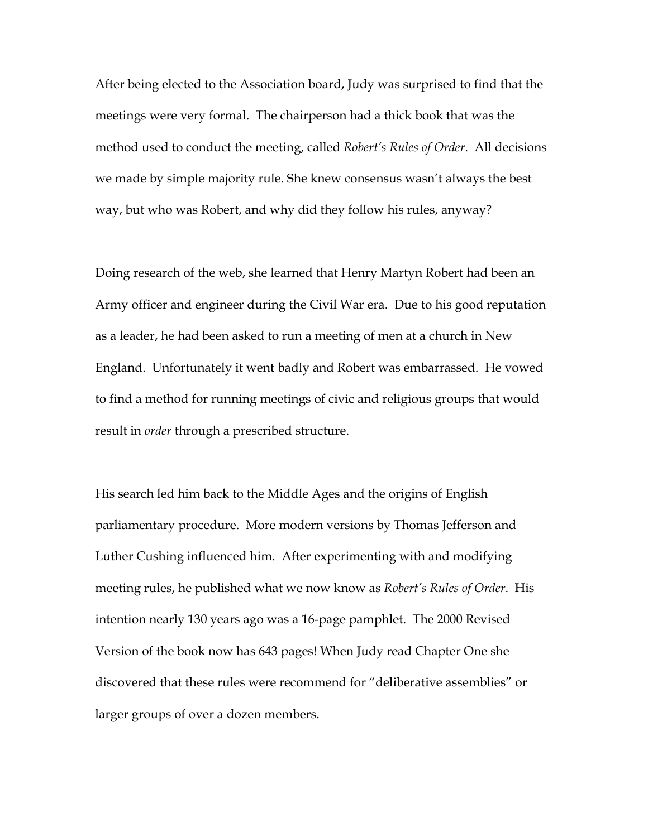After being elected to the Association board, Judy was surprised to find that the meetings were very formal. The chairperson had a thick book that was the method used to conduct the meeting, called *Robert's Rules of Order*. All decisions we made by simple majority rule. She knew consensus wasn't always the best way, but who was Robert, and why did they follow his rules, anyway?

Doing research of the web, she learned that Henry Martyn Robert had been an Army officer and engineer during the Civil War era. Due to his good reputation as a leader, he had been asked to run a meeting of men at a church in New England. Unfortunately it went badly and Robert was embarrassed. He vowed to find a method for running meetings of civic and religious groups that would result in *order* through a prescribed structure.

His search led him back to the Middle Ages and the origins of English parliamentary procedure. More modern versions by Thomas Jefferson and Luther Cushing influenced him. After experimenting with and modifying meeting rules, he published what we now know as *Robert's Rules of Order*. His intention nearly 130 years ago was a 16-page pamphlet. The 2000 Revised Version of the book now has 643 pages! When Judy read Chapter One she discovered that these rules were recommend for "deliberative assemblies" or larger groups of over a dozen members.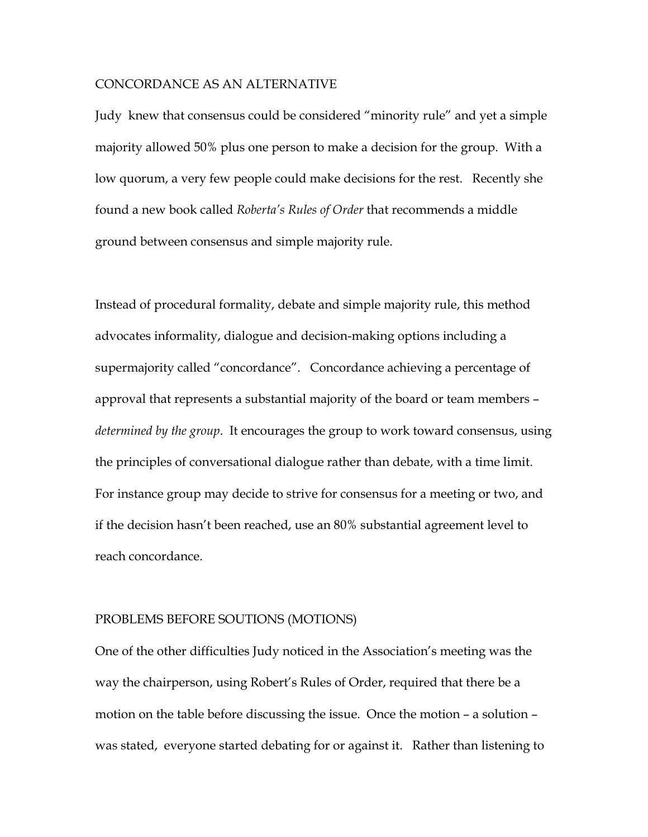#### CONCORDANCE AS AN ALTERNATIVE

Judy knew that consensus could be considered "minority rule" and yet a simple majority allowed 50% plus one person to make a decision for the group. With a low quorum, a very few people could make decisions for the rest. Recently she found a new book called *Roberta's Rules of Order* that recommends a middle ground between consensus and simple majority rule.

Instead of procedural formality, debate and simple majority rule, this method advocates informality, dialogue and decision-making options including a supermajority called "concordance". Concordance achieving a percentage of approval that represents a substantial majority of the board or team members – *determined by the group*. It encourages the group to work toward consensus, using the principles of conversational dialogue rather than debate, with a time limit. For instance group may decide to strive for consensus for a meeting or two, and if the decision hasn't been reached, use an 80% substantial agreement level to reach concordance.

#### PROBLEMS BEFORE SOUTIONS (MOTIONS)

One of the other difficulties Judy noticed in the Association's meeting was the way the chairperson, using Robert's Rules of Order, required that there be a motion on the table before discussing the issue. Once the motion – a solution – was stated, everyone started debating for or against it. Rather than listening to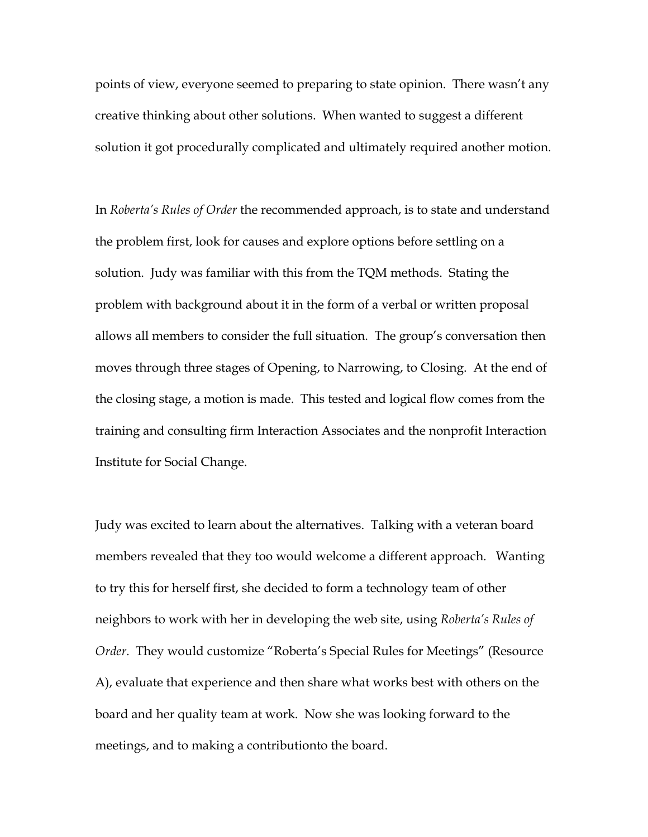points of view, everyone seemed to preparing to state opinion. There wasn't any creative thinking about other solutions. When wanted to suggest a different solution it got procedurally complicated and ultimately required another motion.

In *Roberta's Rules of Order* the recommended approach, is to state and understand the problem first, look for causes and explore options before settling on a solution. Judy was familiar with this from the TQM methods. Stating the problem with background about it in the form of a verbal or written proposal allows all members to consider the full situation. The group's conversation then moves through three stages of Opening, to Narrowing, to Closing. At the end of the closing stage, a motion is made. This tested and logical flow comes from the training and consulting firm Interaction Associates and the nonprofit Interaction Institute for Social Change.

Judy was excited to learn about the alternatives. Talking with a veteran board members revealed that they too would welcome a different approach. Wanting to try this for herself first, she decided to form a technology team of other neighbors to work with her in developing the web site, using *Roberta's Rules of Order*. They would customize "Roberta's Special Rules for Meetings" (Resource A), evaluate that experience and then share what works best with others on the board and her quality team at work. Now she was looking forward to the meetings, and to making a contributionto the board.